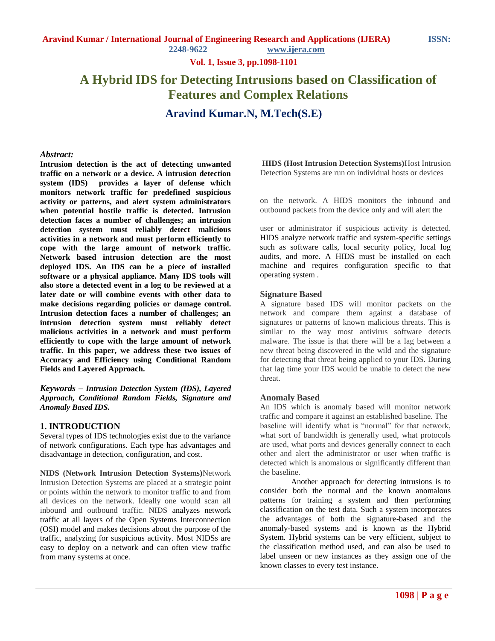**Vol. 1, Issue 3, pp.1098-1101**

# **A Hybrid IDS for Detecting Intrusions based on Classification of Features and Complex Relations**

**Aravind Kumar.N, M.Tech(S.E)**

#### *Abstract:*

**Intrusion detection is the act of detecting unwanted traffic on a network or a device. A intrusion detection system (IDS) provides a layer of defense which monitors network traffic for predefined suspicious activity or patterns, and alert system administrators when potential hostile traffic is detected. Intrusion detection faces a number of challenges; an intrusion detection system must reliably detect malicious activities in a network and must perform efficiently to cope with the large amount of network traffic. Network based intrusion detection are the most deployed IDS. An IDS can be a piece of installed software or a physical appliance. Many IDS tools will also store a detected event in a log to be reviewed at a later date or will combine events with other data to make decisions regarding policies or damage control. Intrusion detection faces a number of challenges; an intrusion detection system must reliably detect malicious activities in a network and must perform efficiently to cope with the large amount of network traffic. In this paper, we address these two issues of Accuracy and Efficiency using Conditional Random Fields and Layered Approach.**

*Keywords – Intrusion Detection System (IDS), Layered Approach, Conditional Random Fields, Signature and Anomaly Based IDS.*

#### **1. INTRODUCTION**

Several types of IDS technologies exist due to the variance of network configurations. Each type has advantages and disadvantage in detection, configuration, and cost.

**NIDS (Network Intrusion Detection Systems)**Network Intrusion Detection Systems are placed at a strategic point or points within the network to monitor traffic to and from all devices on the network. Ideally one would scan all inbound and outbound traffic. NIDS analyzes network traffic at all layers of the Open Systems Interconnection (OSI) model and makes decisions about the purpose of the traffic, analyzing for suspicious activity. Most NIDSs are easy to deploy on a network and can often view traffic from many systems at once.

**HIDS (Host Intrusion Detection Systems)**Host Intrusion Detection Systems are run on individual hosts or devices

on the network. A HIDS monitors the inbound and outbound packets from the device only and will alert the

user or administrator if suspicious activity is detected. HIDS analyze network traffic and system-specific settings such as software calls, local security policy, local log audits, and more. A HIDS must be installed on each machine and requires configuration specific to that operating system .

#### **Signature Based**

A signature based IDS will monitor packets on the network and compare them against a database of signatures or patterns of known malicious threats. This is similar to the way most antivirus software detects malware. The issue is that there will be a lag between a new threat being discovered in the wild and the signature for detecting that threat being applied to your IDS. During that lag time your IDS would be unable to detect the new threat.

#### **Anomaly Based**

An IDS which is anomaly based will monitor network traffic and compare it against an established baseline. The baseline will identify what is "normal" for that network, what sort of bandwidth is generally used, what protocols are used, what ports and devices generally connect to each other and alert the administrator or user when traffic is detected which is anomalous or significantly different than the baseline.

Another approach for detecting intrusions is to consider both the normal and the known anomalous patterns for training a system and then performing classification on the test data. Such a system incorporates the advantages of both the signature-based and the anomaly-based systems and is known as the Hybrid System. Hybrid systems can be very efficient, subject to the classification method used, and can also be used to label unseen or new instances as they assign one of the known classes to every test instance.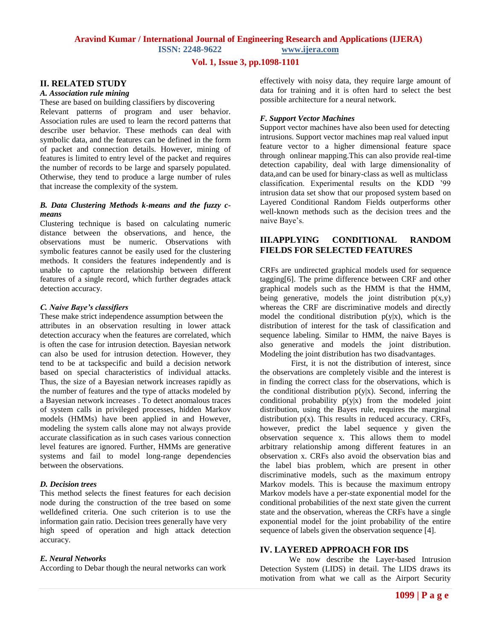## **Aravind Kumar / International Journal of Engineering Research and Applications (IJERA) ISSN: 2248-9622 www.ijera.com**

**Vol. 1, Issue 3, pp.1098-1101**

#### **II. RELATED STUDY**

#### *A. Association rule mining*

These are based on building classifiers by discovering Relevant patterns of program and user behavior. Association rules are used to learn the record patterns that describe user behavior. These methods can deal with symbolic data, and the features can be defined in the form of packet and connection details. However, mining of features is limited to entry level of the packet and requires the number of records to be large and sparsely populated. Otherwise, they tend to produce a large number of rules that increase the complexity of the system.

## *B. Data Clustering Methods k-means and the fuzzy cmeans*

Clustering technique is based on calculating numeric distance between the observations, and hence, the observations must be numeric. Observations with symbolic features cannot be easily used for the clustering methods. It considers the features independently and is unable to capture the relationship between different features of a single record, which further degrades attack detection accuracy.

#### *C. Naive Baye's classifiers*

These make strict independence assumption between the attributes in an observation resulting in lower attack detection accuracy when the features are correlated, which is often the case for intrusion detection. Bayesian network can also be used for intrusion detection. However, they tend to be at tackspecific and build a decision network based on special characteristics of individual attacks. Thus, the size of a Bayesian network increases rapidly as the number of features and the type of attacks modeled by a Bayesian network increases . To detect anomalous traces of system calls in privileged processes, hidden Markov models (HMMs) have been applied in and However, modeling the system calls alone may not always provide accurate classification as in such cases various connection level features are ignored. Further, HMMs are generative systems and fail to model long-range dependencies between the observations.

#### *D. Decision trees*

This method selects the finest features for each decision node during the construction of the tree based on some welldefined criteria. One such criterion is to use the information gain ratio. Decision trees generally have very high speed of operation and high attack detection accuracy.

#### *E. Neural Networks*

According to Debar though the neural networks can work

effectively with noisy data, they require large amount of data for training and it is often hard to select the best possible architecture for a neural network.

#### *F. Support Vector Machines*

Support vector machines have also been used for detecting intrusions. Support vector machines map real valued input feature vector to a higher dimensional feature space through onlinear mapping.This can also provide real-time detection capability, deal with large dimensionality of data,and can be used for binary-class as well as multiclass classification. Experimental results on the KDD '99 intrusion data set show that our proposed system based on Layered Conditional Random Fields outperforms other well-known methods such as the decision trees and the naive Baye's.

# **III.APPLYING CONDITIONAL RANDOM FIELDS FOR SELECTED FEATURES**

CRFs are undirected graphical models used for sequence tagging[6]. The prime difference between CRF and other graphical models such as the HMM is that the HMM, being generative, models the joint distribution  $p(x,y)$ whereas the CRF are discriminative models and directly model the conditional distribution  $p(y|x)$ , which is the distribution of interest for the task of classification and sequence labeling. Similar to HMM, the naive Bayes is also generative and models the joint distribution. Modeling the joint distribution has two disadvantages.

First, it is not the distribution of interest, since the observations are completely visible and the interest is in finding the correct class for the observations, which is the conditional distribution  $p(y|x)$ . Second, inferring the conditional probability  $p(y|x)$  from the modeled joint distribution, using the Bayes rule, requires the marginal distribution  $p(x)$ . This results in reduced accuracy. CRFs, however, predict the label sequence y given the observation sequence x. This allows them to model arbitrary relationship among different features in an observation x. CRFs also avoid the observation bias and the label bias problem, which are present in other discriminative models, such as the maximum entropy Markov models. This is because the maximum entropy Markov models have a per-state exponential model for the conditional probabilities of the next state given the current state and the observation, whereas the CRFs have a single exponential model for the joint probability of the entire sequence of labels given the observation sequence [4].

## **IV. LAYERED APPROACH FOR IDS**

We now describe the Layer-based Intrusion Detection System (LIDS) in detail. The LIDS draws its motivation from what we call as the Airport Security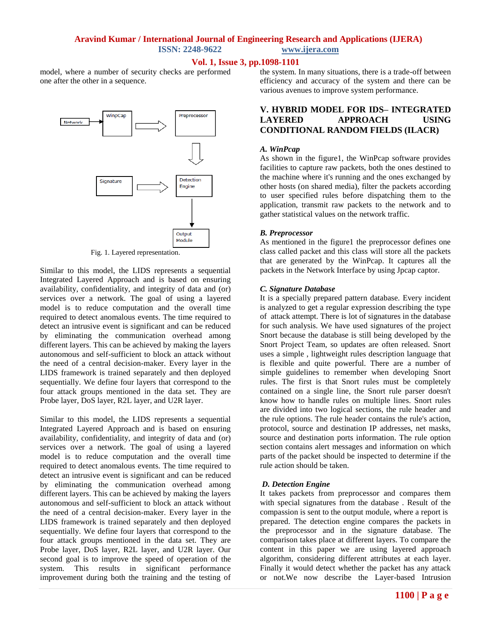## **Aravind Kumar / International Journal of Engineering Research and Applications (IJERA) ISSN: 2248-9622 www.ijera.com**

## **Vol. 1, Issue 3, pp.1098-1101**

model, where a number of security checks are performed one after the other in a sequence.



Fig. 1. Layered representation.

Similar to this model, the LIDS represents a sequential Integrated Layered Approach and is based on ensuring availability, confidentiality, and integrity of data and (or) services over a network. The goal of using a layered model is to reduce computation and the overall time required to detect anomalous events. The time required to detect an intrusive event is significant and can be reduced by eliminating the communication overhead among different layers. This can be achieved by making the layers autonomous and self-sufficient to block an attack without the need of a central decision-maker. Every layer in the LIDS framework is trained separately and then deployed sequentially. We define four layers that correspond to the four attack groups mentioned in the data set. They are Probe layer, DoS layer, R2L layer, and U2R layer.

Similar to this model, the LIDS represents a sequential Integrated Layered Approach and is based on ensuring availability, confidentiality, and integrity of data and (or) services over a network. The goal of using a layered model is to reduce computation and the overall time required to detect anomalous events. The time required to detect an intrusive event is significant and can be reduced by eliminating the communication overhead among different layers. This can be achieved by making the layers autonomous and self-sufficient to block an attack without the need of a central decision-maker. Every layer in the LIDS framework is trained separately and then deployed sequentially. We define four layers that correspond to the four attack groups mentioned in the data set. They are Probe layer, DoS layer, R2L layer, and U2R layer. Our second goal is to improve the speed of operation of the system. This results in significant performance improvement during both the training and the testing of the system. In many situations, there is a trade-off between efficiency and accuracy of the system and there can be various avenues to improve system performance.

## **V. HYBRID MODEL FOR IDS– INTEGRATED LAYERED APPROACH USING CONDITIONAL RANDOM FIELDS (ILACR)**

#### *A. WinPcap*

As shown in the figure1, the WinPcap software provides facilities to capture raw packets, both the ones destined to the machine where it's running and the ones exchanged by other hosts (on shared media), filter the packets according to user specified rules before dispatching them to the application, transmit raw packets to the network and to gather statistical values on the network traffic.

## *B. Preprocessor*

As mentioned in the figure1 the preprocessor defines one class called packet and this class will store all the packets that are generated by the WinPcap. It captures all the packets in the Network Interface by using Jpcap captor.

#### *C. Signature Database*

It is a specially prepared pattern database. Every incident is analyzed to get a regular expression describing the type of attack attempt. There is lot of signatures in the database for such analysis. We have used signatures of the project Snort because the database is still being developed by the Snort Project Team, so updates are often released. Snort uses a simple , lightweight rules description language that is flexible and quite powerful. There are a number of simple guidelines to remember when developing Snort rules. The first is that Snort rules must be completely contained on a single line, the Snort rule parser doesn't know how to handle rules on multiple lines. Snort rules are divided into two logical sections, the rule header and the rule options. The rule header contains the rule's action, protocol, source and destination IP addresses, net masks, source and destination ports information. The rule option section contains alert messages and information on which parts of the packet should be inspected to determine if the rule action should be taken.

## *D. Detection Engine*

It takes packets from preprocessor and compares them with special signatures from the database . Result of the compassion is sent to the output module, where a report is prepared. The detection engine compares the packets in the preprocessor and in the signature database. The comparison takes place at different layers. To compare the content in this paper we are using layered approach algorithm, considering different attributes at each layer. Finally it would detect whether the packet has any attack or not.We now describe the Layer-based Intrusion